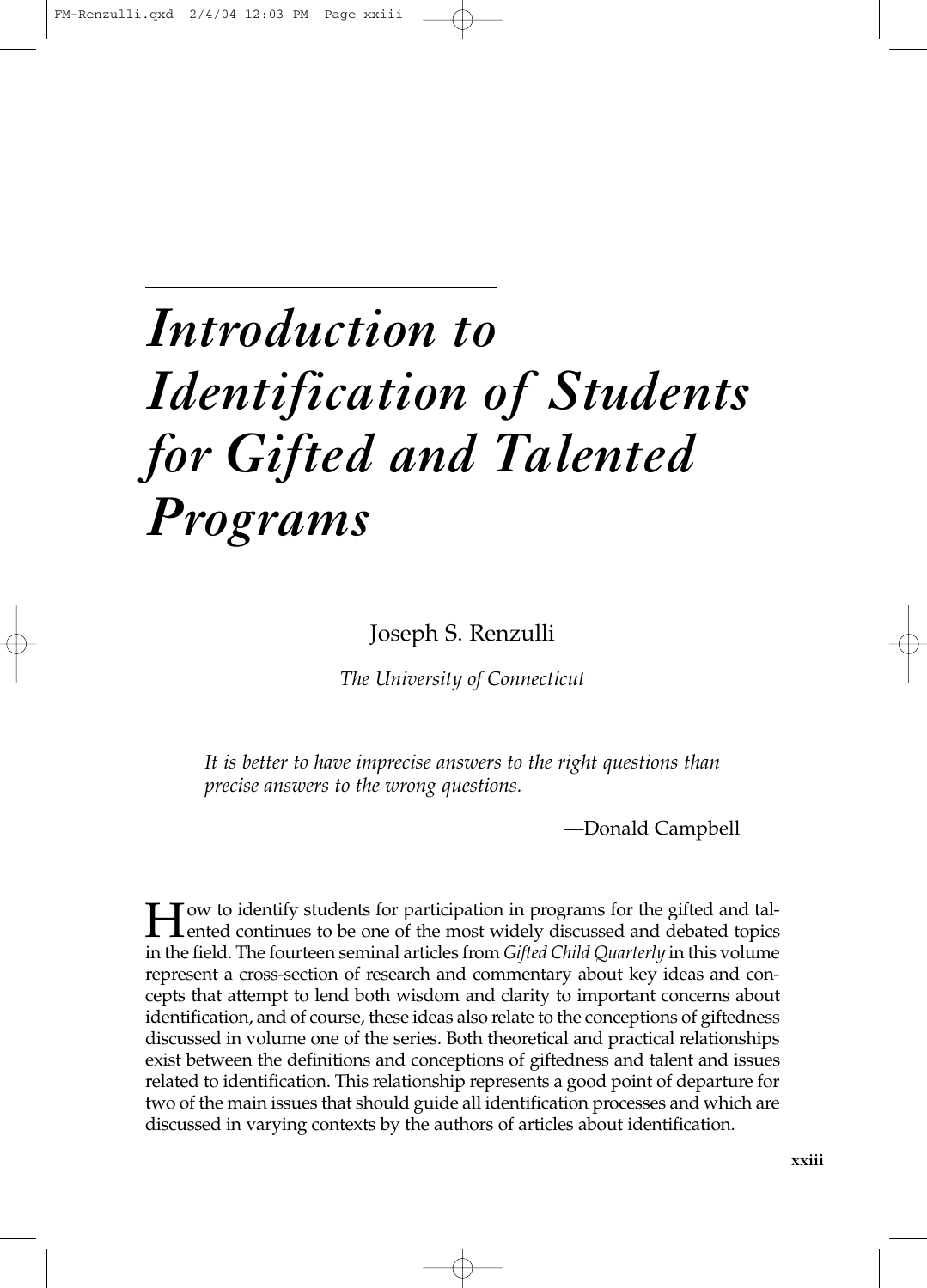# *Introduction to Identification of Students for Gifted and Talented Programs*

Joseph S. Renzulli

*The University of Connecticut*

*It is better to have imprecise answers to the right questions than precise answers to the wrong questions.*

—Donald Campbell

 $\prod$  ow to identify students for participation in programs for the gifted and tal-<br>ented continues to be one of the most widely discussed and debated topics<br>in the field The fourteen continual sticker form  $\overline{G}^{(0)}$  of in the field. The fourteen seminal articles from *Gifted Child Quarterly* in this volume represent a cross-section of research and commentary about key ideas and concepts that attempt to lend both wisdom and clarity to important concerns about identification, and of course, these ideas also relate to the conceptions of giftedness discussed in volume one of the series. Both theoretical and practical relationships exist between the definitions and conceptions of giftedness and talent and issues related to identification. This relationship represents a good point of departure for two of the main issues that should guide all identification processes and which are discussed in varying contexts by the authors of articles about identification.

**xxiii**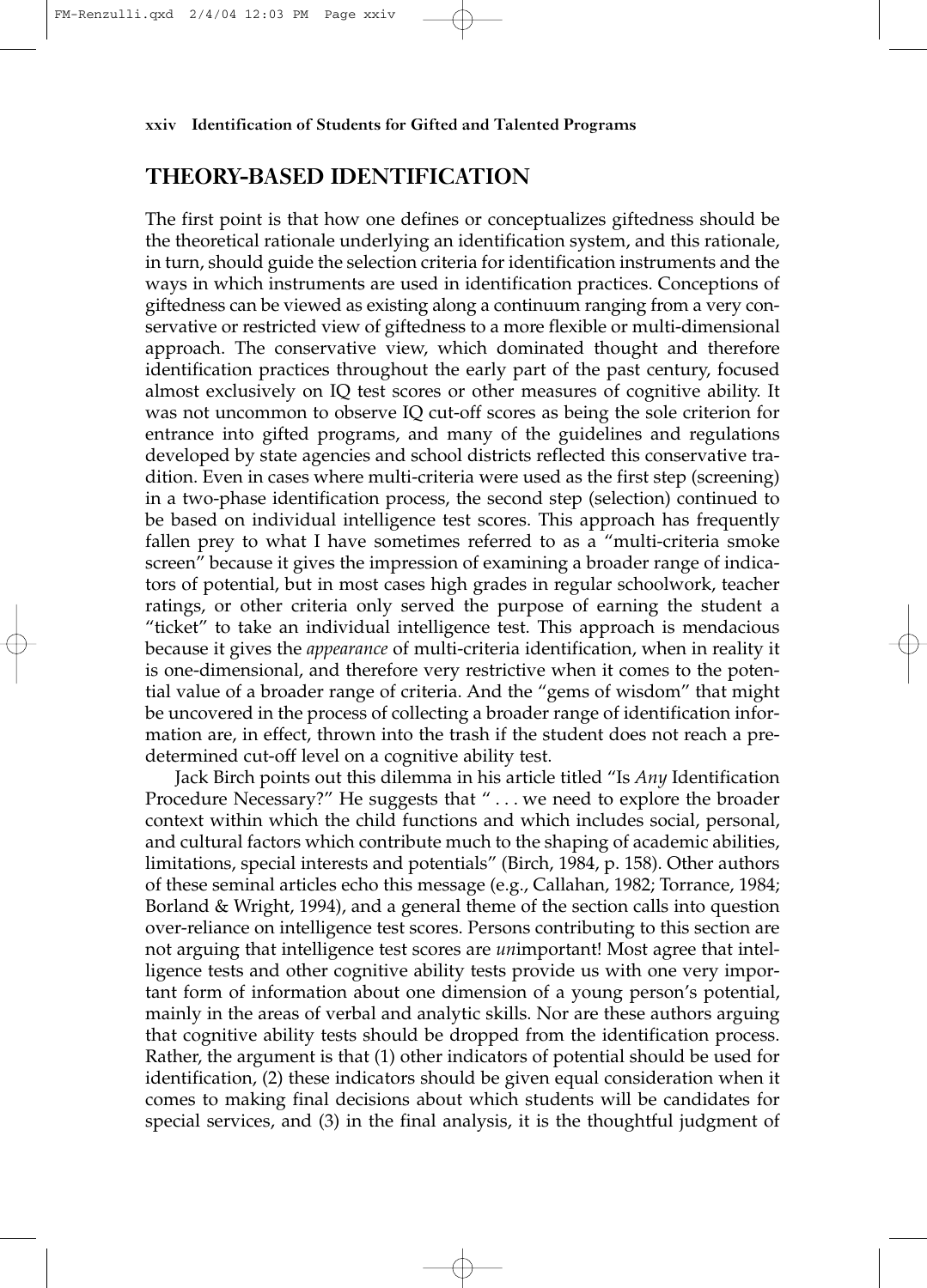**xxiv Identification of Students for Gifted and Talented Programs** 

## **THEORY-BASED IDENTIFICATION**

The first point is that how one defines or conceptualizes giftedness should be the theoretical rationale underlying an identification system, and this rationale, in turn, should guide the selection criteria for identification instruments and the ways in which instruments are used in identification practices. Conceptions of giftedness can be viewed as existing along a continuum ranging from a very conservative or restricted view of giftedness to a more flexible or multi-dimensional approach. The conservative view, which dominated thought and therefore identification practices throughout the early part of the past century, focused almost exclusively on IQ test scores or other measures of cognitive ability. It was not uncommon to observe IQ cut-off scores as being the sole criterion for entrance into gifted programs, and many of the guidelines and regulations developed by state agencies and school districts reflected this conservative tradition. Even in cases where multi-criteria were used as the first step (screening) in a two-phase identification process, the second step (selection) continued to be based on individual intelligence test scores. This approach has frequently fallen prey to what I have sometimes referred to as a "multi-criteria smoke screen" because it gives the impression of examining a broader range of indicators of potential, but in most cases high grades in regular schoolwork, teacher ratings, or other criteria only served the purpose of earning the student a "ticket" to take an individual intelligence test. This approach is mendacious because it gives the *appearance* of multi-criteria identification, when in reality it is one-dimensional, and therefore very restrictive when it comes to the potential value of a broader range of criteria. And the "gems of wisdom" that might be uncovered in the process of collecting a broader range of identification information are, in effect, thrown into the trash if the student does not reach a predetermined cut-off level on a cognitive ability test.

Jack Birch points out this dilemma in his article titled "Is *Any* Identification Procedure Necessary?" He suggests that "... we need to explore the broader context within which the child functions and which includes social, personal, and cultural factors which contribute much to the shaping of academic abilities, limitations, special interests and potentials" (Birch, 1984, p. 158). Other authors of these seminal articles echo this message (e.g., Callahan, 1982; Torrance, 1984; Borland & Wright, 1994), and a general theme of the section calls into question over-reliance on intelligence test scores. Persons contributing to this section are not arguing that intelligence test scores are *un*important! Most agree that intelligence tests and other cognitive ability tests provide us with one very important form of information about one dimension of a young person's potential, mainly in the areas of verbal and analytic skills. Nor are these authors arguing that cognitive ability tests should be dropped from the identification process. Rather, the argument is that (1) other indicators of potential should be used for identification, (2) these indicators should be given equal consideration when it comes to making final decisions about which students will be candidates for special services, and (3) in the final analysis, it is the thoughtful judgment of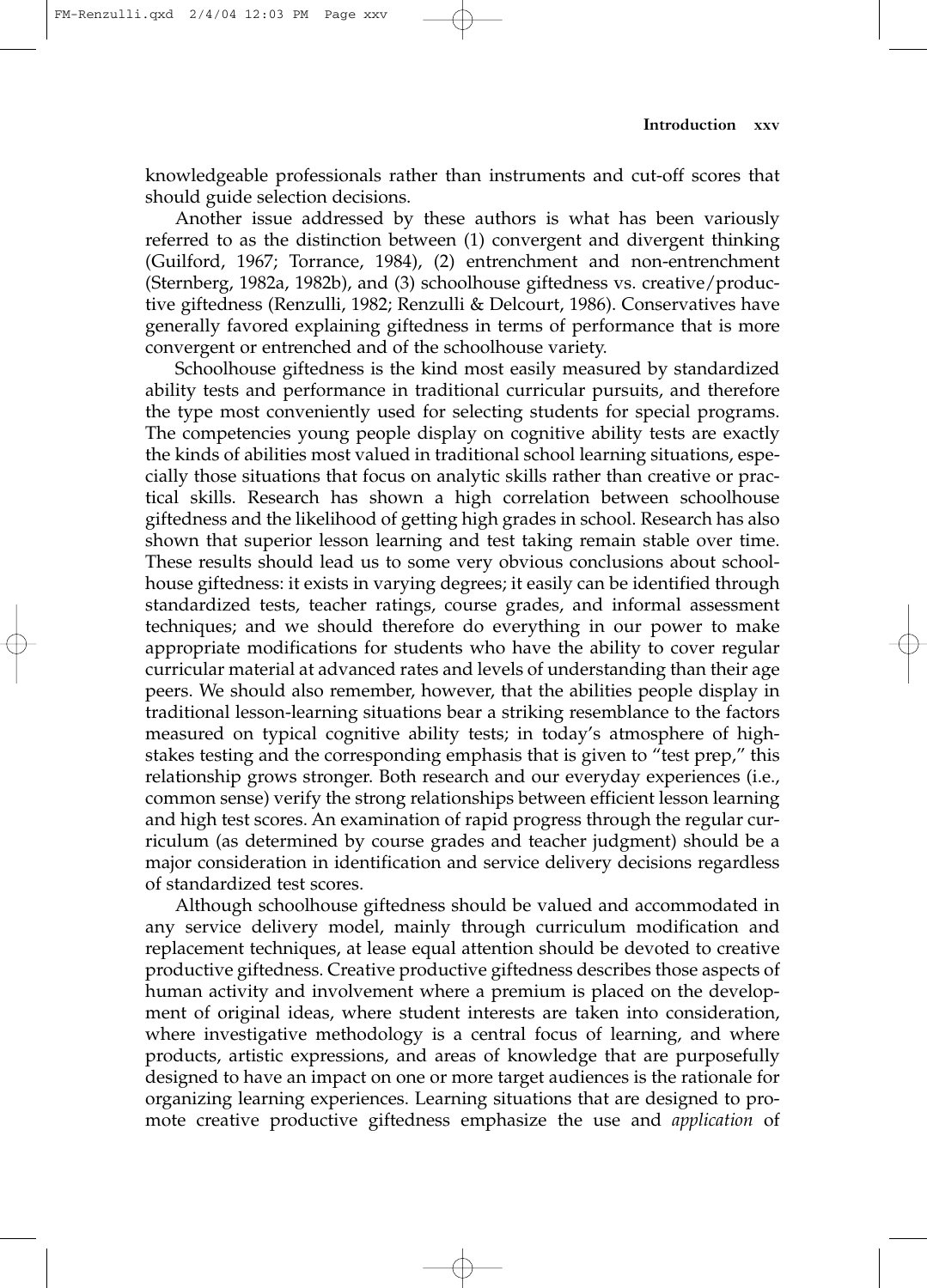knowledgeable professionals rather than instruments and cut-off scores that should guide selection decisions.

Another issue addressed by these authors is what has been variously referred to as the distinction between (1) convergent and divergent thinking (Guilford, 1967; Torrance, 1984), (2) entrenchment and non-entrenchment (Sternberg, 1982a, 1982b), and (3) schoolhouse giftedness vs. creative/productive giftedness (Renzulli, 1982; Renzulli & Delcourt, 1986). Conservatives have generally favored explaining giftedness in terms of performance that is more convergent or entrenched and of the schoolhouse variety.

Schoolhouse giftedness is the kind most easily measured by standardized ability tests and performance in traditional curricular pursuits, and therefore the type most conveniently used for selecting students for special programs. The competencies young people display on cognitive ability tests are exactly the kinds of abilities most valued in traditional school learning situations, especially those situations that focus on analytic skills rather than creative or practical skills. Research has shown a high correlation between schoolhouse giftedness and the likelihood of getting high grades in school. Research has also shown that superior lesson learning and test taking remain stable over time. These results should lead us to some very obvious conclusions about schoolhouse giftedness: it exists in varying degrees; it easily can be identified through standardized tests, teacher ratings, course grades, and informal assessment techniques; and we should therefore do everything in our power to make appropriate modifications for students who have the ability to cover regular curricular material at advanced rates and levels of understanding than their age peers. We should also remember, however, that the abilities people display in traditional lesson-learning situations bear a striking resemblance to the factors measured on typical cognitive ability tests; in today's atmosphere of highstakes testing and the corresponding emphasis that is given to "test prep," this relationship grows stronger. Both research and our everyday experiences (i.e., common sense) verify the strong relationships between efficient lesson learning and high test scores. An examination of rapid progress through the regular curriculum (as determined by course grades and teacher judgment) should be a major consideration in identification and service delivery decisions regardless of standardized test scores.

Although schoolhouse giftedness should be valued and accommodated in any service delivery model, mainly through curriculum modification and replacement techniques, at lease equal attention should be devoted to creative productive giftedness. Creative productive giftedness describes those aspects of human activity and involvement where a premium is placed on the development of original ideas, where student interests are taken into consideration, where investigative methodology is a central focus of learning, and where products, artistic expressions, and areas of knowledge that are purposefully designed to have an impact on one or more target audiences is the rationale for organizing learning experiences. Learning situations that are designed to promote creative productive giftedness emphasize the use and *application* of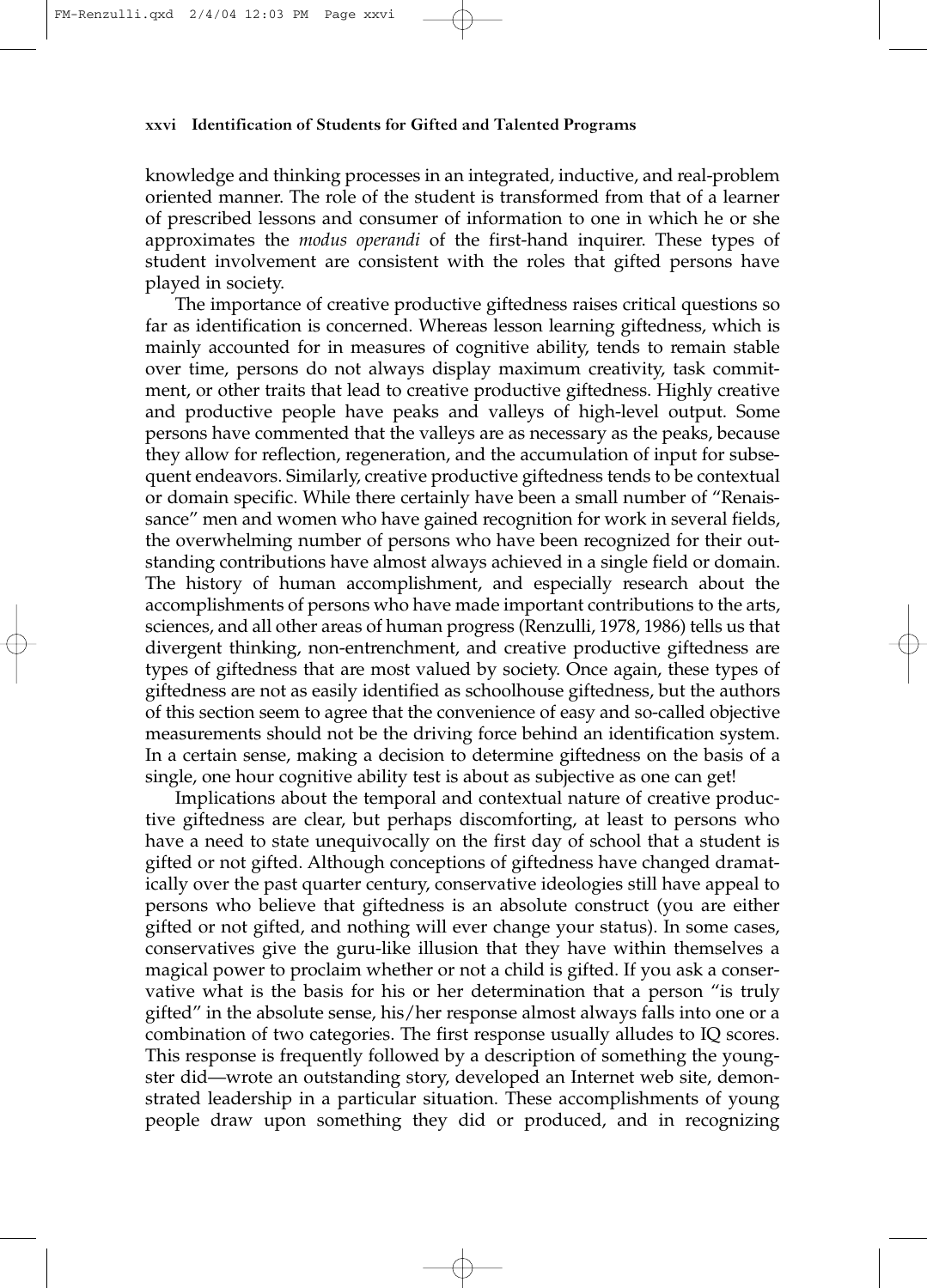#### **xxvi Identification of Students for Gifted and Talented Programs**

knowledge and thinking processes in an integrated, inductive, and real-problem oriented manner. The role of the student is transformed from that of a learner of prescribed lessons and consumer of information to one in which he or she approximates the *modus operandi* of the first-hand inquirer. These types of student involvement are consistent with the roles that gifted persons have played in society.

The importance of creative productive giftedness raises critical questions so far as identification is concerned. Whereas lesson learning giftedness, which is mainly accounted for in measures of cognitive ability, tends to remain stable over time, persons do not always display maximum creativity, task commitment, or other traits that lead to creative productive giftedness. Highly creative and productive people have peaks and valleys of high-level output. Some persons have commented that the valleys are as necessary as the peaks, because they allow for reflection, regeneration, and the accumulation of input for subsequent endeavors. Similarly, creative productive giftedness tends to be contextual or domain specific. While there certainly have been a small number of "Renaissance" men and women who have gained recognition for work in several fields, the overwhelming number of persons who have been recognized for their outstanding contributions have almost always achieved in a single field or domain. The history of human accomplishment, and especially research about the accomplishments of persons who have made important contributions to the arts, sciences, and all other areas of human progress (Renzulli, 1978, 1986) tells us that divergent thinking, non-entrenchment, and creative productive giftedness are types of giftedness that are most valued by society. Once again, these types of giftedness are not as easily identified as schoolhouse giftedness, but the authors of this section seem to agree that the convenience of easy and so-called objective measurements should not be the driving force behind an identification system. In a certain sense, making a decision to determine giftedness on the basis of a single, one hour cognitive ability test is about as subjective as one can get!

Implications about the temporal and contextual nature of creative productive giftedness are clear, but perhaps discomforting, at least to persons who have a need to state unequivocally on the first day of school that a student is gifted or not gifted. Although conceptions of giftedness have changed dramatically over the past quarter century, conservative ideologies still have appeal to persons who believe that giftedness is an absolute construct (you are either gifted or not gifted, and nothing will ever change your status). In some cases, conservatives give the guru-like illusion that they have within themselves a magical power to proclaim whether or not a child is gifted. If you ask a conservative what is the basis for his or her determination that a person "is truly gifted" in the absolute sense, his/her response almost always falls into one or a combination of two categories. The first response usually alludes to IQ scores. This response is frequently followed by a description of something the youngster did—wrote an outstanding story, developed an Internet web site, demonstrated leadership in a particular situation. These accomplishments of young people draw upon something they did or produced, and in recognizing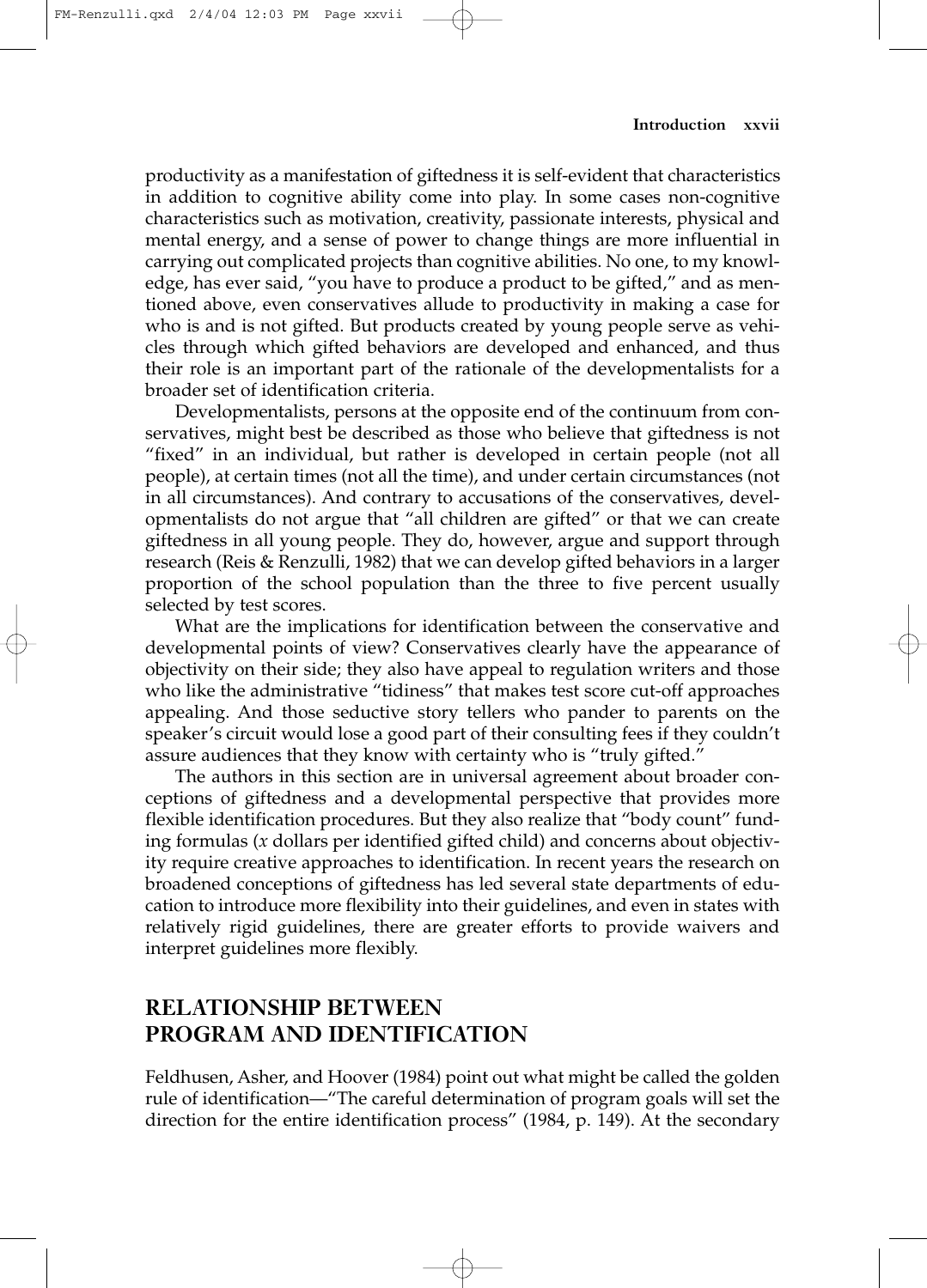productivity as a manifestation of giftedness it is self-evident that characteristics in addition to cognitive ability come into play. In some cases non-cognitive characteristics such as motivation, creativity, passionate interests, physical and mental energy, and a sense of power to change things are more influential in carrying out complicated projects than cognitive abilities. No one, to my knowledge, has ever said, "you have to produce a product to be gifted," and as mentioned above, even conservatives allude to productivity in making a case for who is and is not gifted. But products created by young people serve as vehicles through which gifted behaviors are developed and enhanced, and thus their role is an important part of the rationale of the developmentalists for a broader set of identification criteria.

Developmentalists, persons at the opposite end of the continuum from conservatives, might best be described as those who believe that giftedness is not "fixed" in an individual, but rather is developed in certain people (not all people), at certain times (not all the time), and under certain circumstances (not in all circumstances). And contrary to accusations of the conservatives, developmentalists do not argue that "all children are gifted" or that we can create giftedness in all young people. They do, however, argue and support through research (Reis & Renzulli, 1982) that we can develop gifted behaviors in a larger proportion of the school population than the three to five percent usually selected by test scores.

What are the implications for identification between the conservative and developmental points of view? Conservatives clearly have the appearance of objectivity on their side; they also have appeal to regulation writers and those who like the administrative "tidiness" that makes test score cut-off approaches appealing. And those seductive story tellers who pander to parents on the speaker's circuit would lose a good part of their consulting fees if they couldn't assure audiences that they know with certainty who is "truly gifted."

The authors in this section are in universal agreement about broader conceptions of giftedness and a developmental perspective that provides more flexible identification procedures. But they also realize that "body count" funding formulas (*x* dollars per identified gifted child) and concerns about objectivity require creative approaches to identification. In recent years the research on broadened conceptions of giftedness has led several state departments of education to introduce more flexibility into their guidelines, and even in states with relatively rigid guidelines, there are greater efforts to provide waivers and interpret guidelines more flexibly.

## **RELATIONSHIP BETWEEN PROGRAM AND IDENTIFICATION**

Feldhusen, Asher, and Hoover (1984) point out what might be called the golden rule of identification—"The careful determination of program goals will set the direction for the entire identification process" (1984, p. 149). At the secondary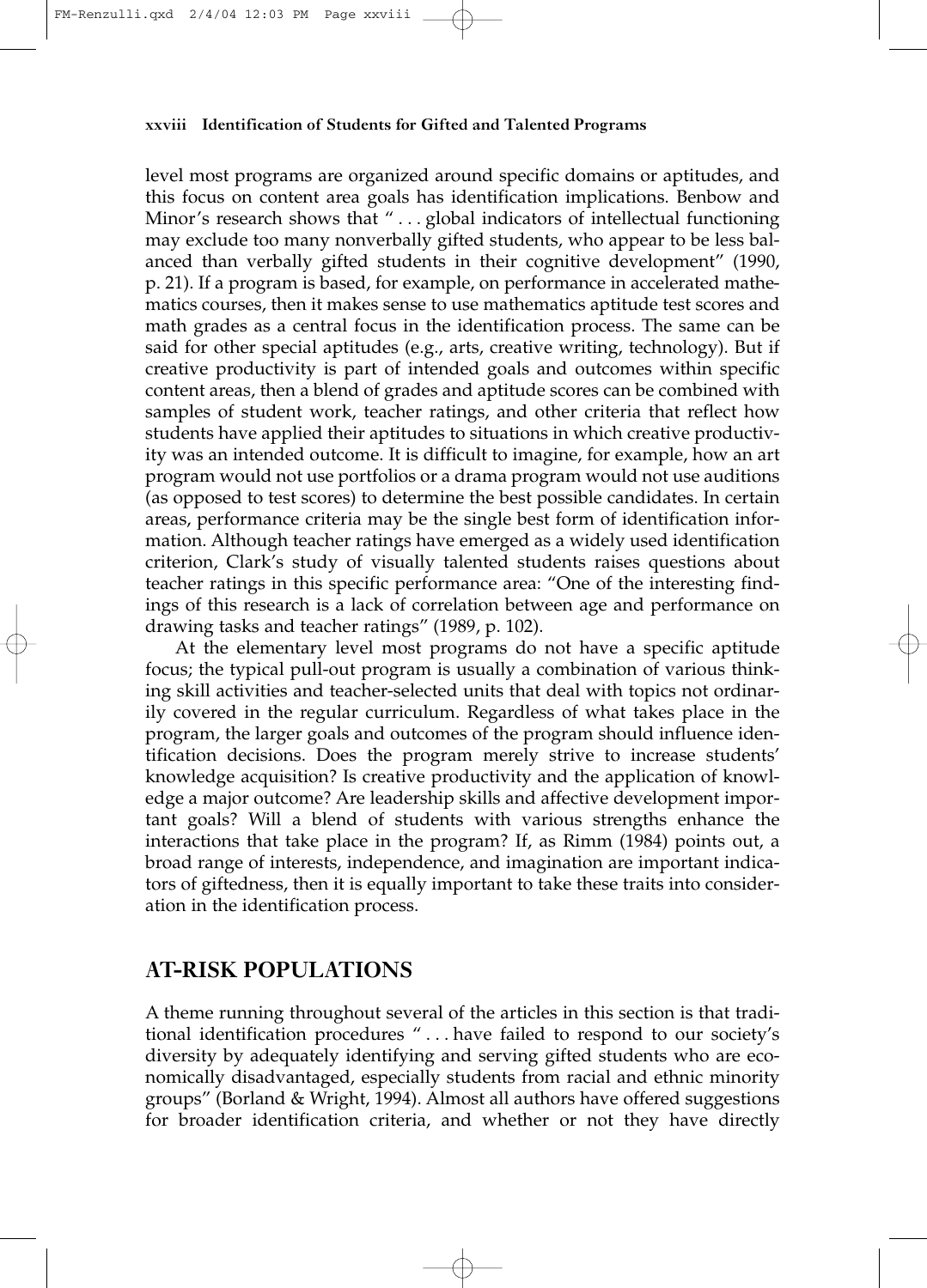#### **xxviii Identification of Students for Gifted and Talented Programs**

level most programs are organized around specific domains or aptitudes, and this focus on content area goals has identification implications. Benbow and Minor's research shows that "... global indicators of intellectual functioning may exclude too many nonverbally gifted students, who appear to be less balanced than verbally gifted students in their cognitive development" (1990, p. 21). If a program is based, for example, on performance in accelerated mathematics courses, then it makes sense to use mathematics aptitude test scores and math grades as a central focus in the identification process. The same can be said for other special aptitudes (e.g., arts, creative writing, technology). But if creative productivity is part of intended goals and outcomes within specific content areas, then a blend of grades and aptitude scores can be combined with samples of student work, teacher ratings, and other criteria that reflect how students have applied their aptitudes to situations in which creative productivity was an intended outcome. It is difficult to imagine, for example, how an art program would not use portfolios or a drama program would not use auditions (as opposed to test scores) to determine the best possible candidates. In certain areas, performance criteria may be the single best form of identification information. Although teacher ratings have emerged as a widely used identification criterion, Clark's study of visually talented students raises questions about teacher ratings in this specific performance area: "One of the interesting findings of this research is a lack of correlation between age and performance on drawing tasks and teacher ratings" (1989, p. 102).

At the elementary level most programs do not have a specific aptitude focus; the typical pull-out program is usually a combination of various thinking skill activities and teacher-selected units that deal with topics not ordinarily covered in the regular curriculum. Regardless of what takes place in the program, the larger goals and outcomes of the program should influence identification decisions. Does the program merely strive to increase students' knowledge acquisition? Is creative productivity and the application of knowledge a major outcome? Are leadership skills and affective development important goals? Will a blend of students with various strengths enhance the interactions that take place in the program? If, as Rimm (1984) points out, a broad range of interests, independence, and imagination are important indicators of giftedness, then it is equally important to take these traits into consideration in the identification process.

## **AT-RISK POPULATIONS**

A theme running throughout several of the articles in this section is that traditional identification procedures " . . . have failed to respond to our society's diversity by adequately identifying and serving gifted students who are economically disadvantaged, especially students from racial and ethnic minority groups" (Borland & Wright, 1994). Almost all authors have offered suggestions for broader identification criteria, and whether or not they have directly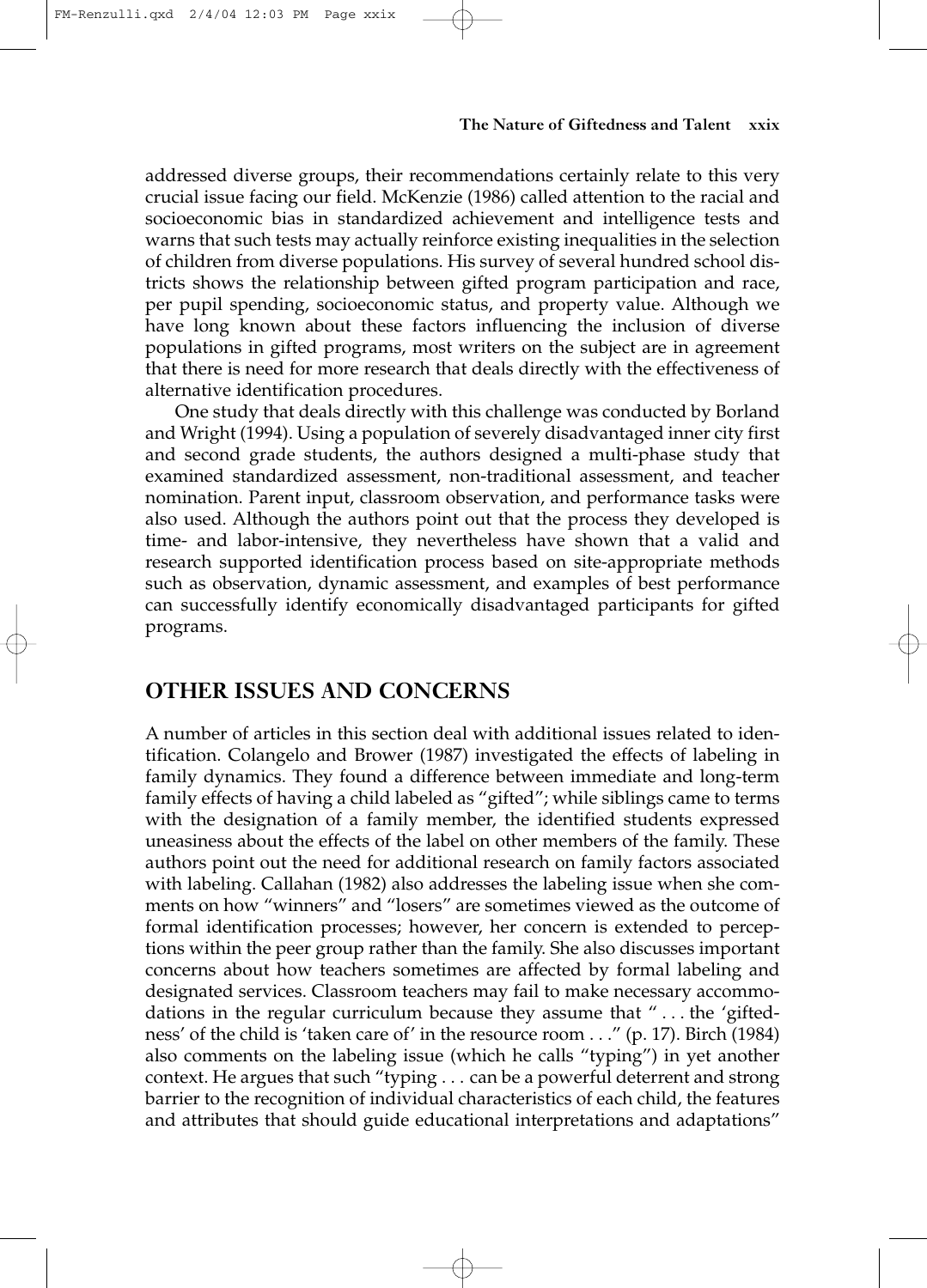## **The Nature of Giftedness and Talent xxix**

addressed diverse groups, their recommendations certainly relate to this very crucial issue facing our field. McKenzie (1986) called attention to the racial and socioeconomic bias in standardized achievement and intelligence tests and warns that such tests may actually reinforce existing inequalities in the selection of children from diverse populations. His survey of several hundred school districts shows the relationship between gifted program participation and race, per pupil spending, socioeconomic status, and property value. Although we have long known about these factors influencing the inclusion of diverse populations in gifted programs, most writers on the subject are in agreement that there is need for more research that deals directly with the effectiveness of alternative identification procedures.

One study that deals directly with this challenge was conducted by Borland and Wright (1994). Using a population of severely disadvantaged inner city first and second grade students, the authors designed a multi-phase study that examined standardized assessment, non-traditional assessment, and teacher nomination. Parent input, classroom observation, and performance tasks were also used. Although the authors point out that the process they developed is time- and labor-intensive, they nevertheless have shown that a valid and research supported identification process based on site-appropriate methods such as observation, dynamic assessment, and examples of best performance can successfully identify economically disadvantaged participants for gifted programs.

## **OTHER ISSUES AND CONCERNS**

A number of articles in this section deal with additional issues related to identification. Colangelo and Brower (1987) investigated the effects of labeling in family dynamics. They found a difference between immediate and long-term family effects of having a child labeled as "gifted"; while siblings came to terms with the designation of a family member, the identified students expressed uneasiness about the effects of the label on other members of the family. These authors point out the need for additional research on family factors associated with labeling. Callahan (1982) also addresses the labeling issue when she comments on how "winners" and "losers" are sometimes viewed as the outcome of formal identification processes; however, her concern is extended to perceptions within the peer group rather than the family. She also discusses important concerns about how teachers sometimes are affected by formal labeling and designated services. Classroom teachers may fail to make necessary accommodations in the regular curriculum because they assume that " . . . the 'giftedness' of the child is 'taken care of' in the resource room . . ." (p. 17). Birch (1984) also comments on the labeling issue (which he calls "typing") in yet another context. He argues that such "typing . . . can be a powerful deterrent and strong barrier to the recognition of individual characteristics of each child, the features and attributes that should guide educational interpretations and adaptations"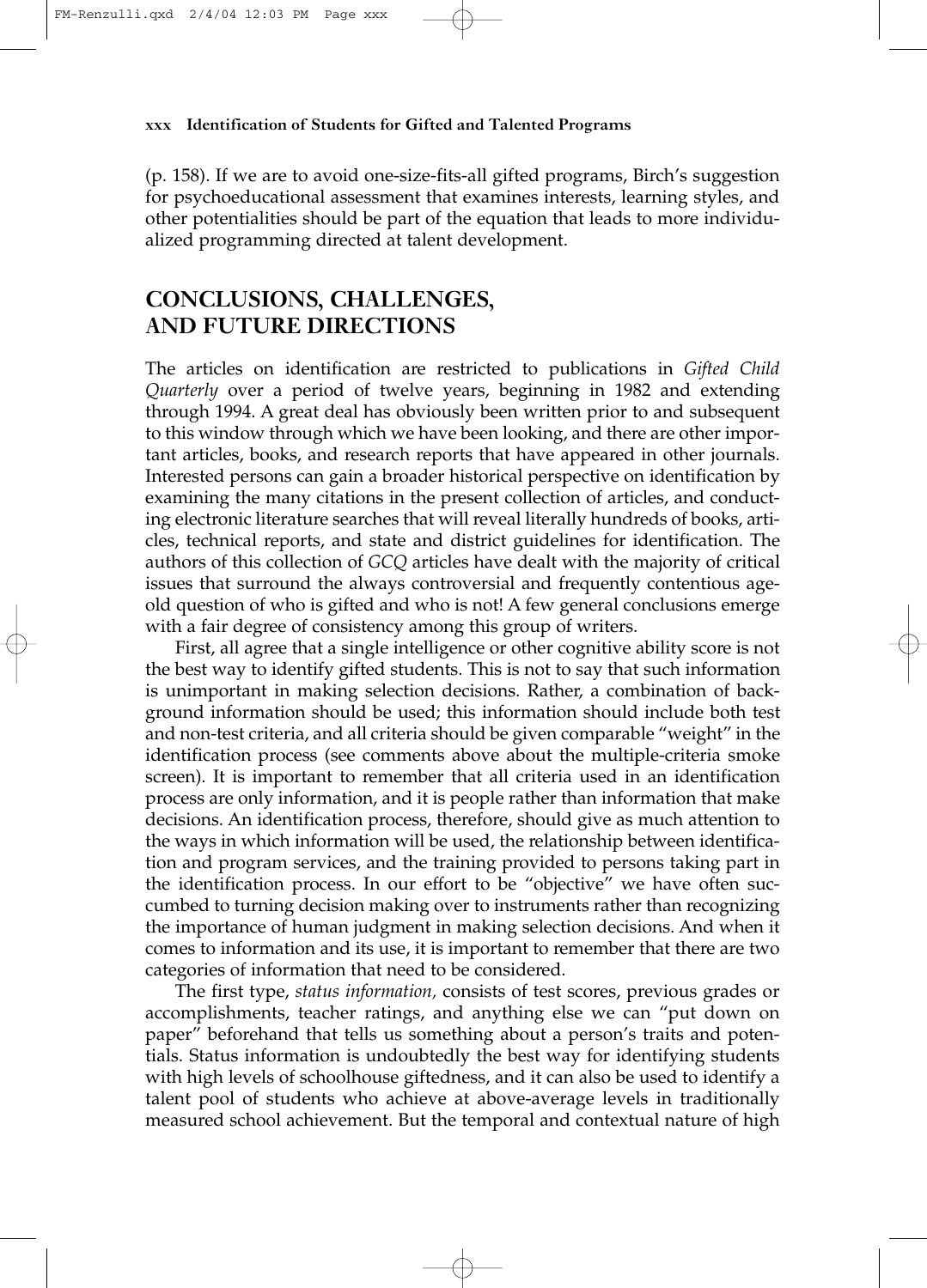**xxx Identification of Students for Gifted and Talented Programs** 

(p. 158). If we are to avoid one-size-fits-all gifted programs, Birch's suggestion for psychoeducational assessment that examines interests, learning styles, and other potentialities should be part of the equation that leads to more individualized programming directed at talent development.

# **CONCLUSIONS, CHALLENGES, AND FUTURE DIRECTIONS**

The articles on identification are restricted to publications in *Gifted Child Quarterly* over a period of twelve years, beginning in 1982 and extending through 1994. A great deal has obviously been written prior to and subsequent to this window through which we have been looking, and there are other important articles, books, and research reports that have appeared in other journals. Interested persons can gain a broader historical perspective on identification by examining the many citations in the present collection of articles, and conducting electronic literature searches that will reveal literally hundreds of books, articles, technical reports, and state and district guidelines for identification. The authors of this collection of *GCQ* articles have dealt with the majority of critical issues that surround the always controversial and frequently contentious ageold question of who is gifted and who is not! A few general conclusions emerge with a fair degree of consistency among this group of writers.

First, all agree that a single intelligence or other cognitive ability score is not the best way to identify gifted students. This is not to say that such information is unimportant in making selection decisions. Rather, a combination of background information should be used; this information should include both test and non-test criteria, and all criteria should be given comparable "weight" in the identification process (see comments above about the multiple-criteria smoke screen). It is important to remember that all criteria used in an identification process are only information, and it is people rather than information that make decisions. An identification process, therefore, should give as much attention to the ways in which information will be used, the relationship between identification and program services, and the training provided to persons taking part in the identification process. In our effort to be "objective" we have often succumbed to turning decision making over to instruments rather than recognizing the importance of human judgment in making selection decisions. And when it comes to information and its use, it is important to remember that there are two categories of information that need to be considered.

The first type, *status information,* consists of test scores, previous grades or accomplishments, teacher ratings, and anything else we can "put down on paper" beforehand that tells us something about a person's traits and potentials. Status information is undoubtedly the best way for identifying students with high levels of schoolhouse giftedness, and it can also be used to identify a talent pool of students who achieve at above-average levels in traditionally measured school achievement. But the temporal and contextual nature of high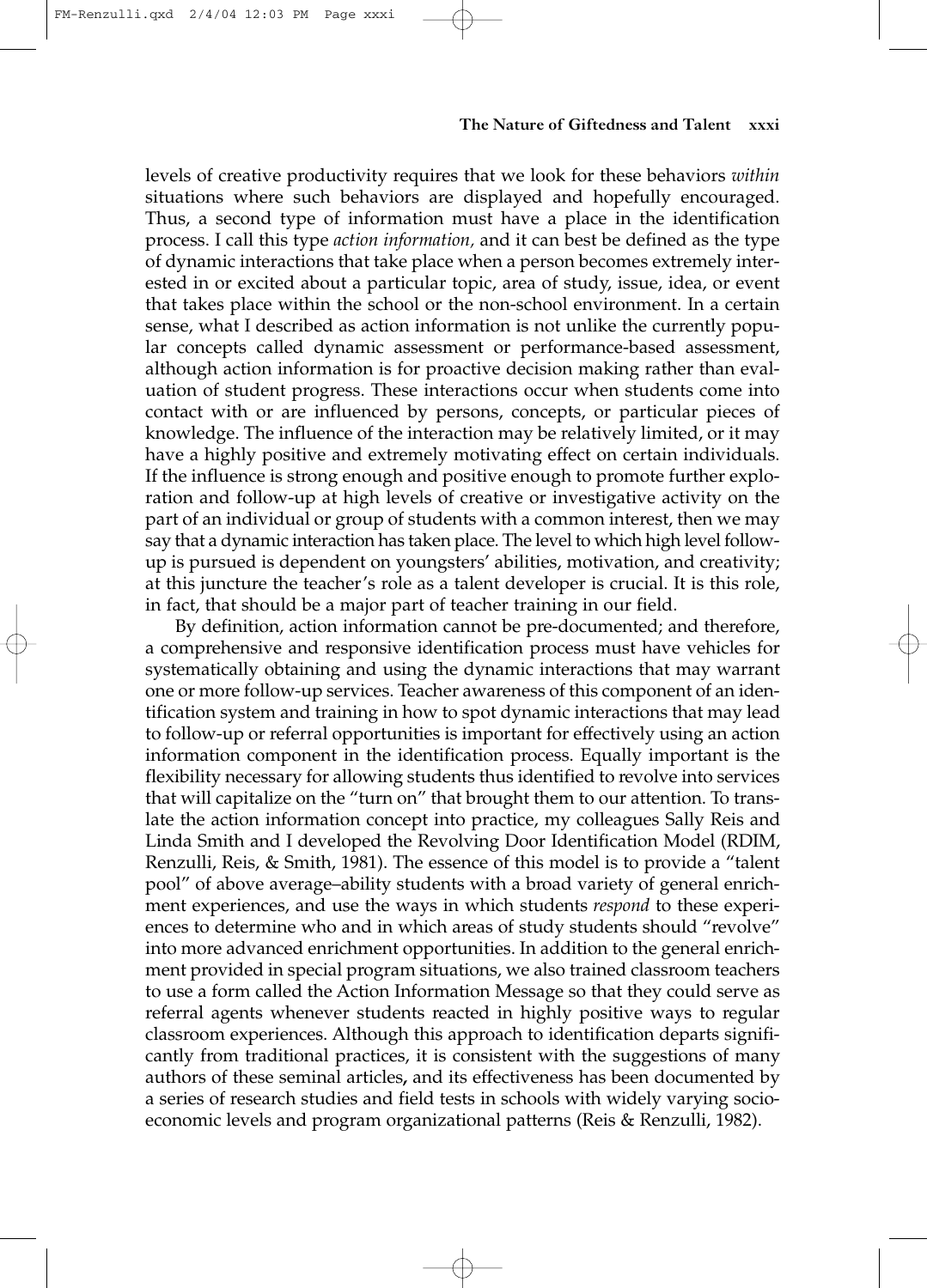### **The Nature of Giftedness and Talent xxxi**

levels of creative productivity requires that we look for these behaviors *within* situations where such behaviors are displayed and hopefully encouraged. Thus, a second type of information must have a place in the identification process. I call this type *action information,* and it can best be defined as the type of dynamic interactions that take place when a person becomes extremely interested in or excited about a particular topic, area of study, issue, idea, or event that takes place within the school or the non-school environment. In a certain sense, what I described as action information is not unlike the currently popular concepts called dynamic assessment or performance-based assessment, although action information is for proactive decision making rather than evaluation of student progress. These interactions occur when students come into contact with or are influenced by persons, concepts, or particular pieces of knowledge. The influence of the interaction may be relatively limited, or it may have a highly positive and extremely motivating effect on certain individuals. If the influence is strong enough and positive enough to promote further exploration and follow-up at high levels of creative or investigative activity on the part of an individual or group of students with a common interest, then we may say that a dynamic interaction has taken place. The level to which high level followup is pursued is dependent on youngsters' abilities, motivation, and creativity; at this juncture the teacher's role as a talent developer is crucial. It is this role, in fact, that should be a major part of teacher training in our field.

By definition, action information cannot be pre-documented; and therefore, a comprehensive and responsive identification process must have vehicles for systematically obtaining and using the dynamic interactions that may warrant one or more follow-up services. Teacher awareness of this component of an identification system and training in how to spot dynamic interactions that may lead to follow-up or referral opportunities is important for effectively using an action information component in the identification process. Equally important is the flexibility necessary for allowing students thus identified to revolve into services that will capitalize on the "turn on" that brought them to our attention. To translate the action information concept into practice, my colleagues Sally Reis and Linda Smith and I developed the Revolving Door Identification Model (RDIM, Renzulli, Reis, & Smith, 1981). The essence of this model is to provide a "talent pool" of above average–ability students with a broad variety of general enrichment experiences, and use the ways in which students *respond* to these experiences to determine who and in which areas of study students should "revolve" into more advanced enrichment opportunities. In addition to the general enrichment provided in special program situations, we also trained classroom teachers to use a form called the Action Information Message so that they could serve as referral agents whenever students reacted in highly positive ways to regular classroom experiences. Although this approach to identification departs significantly from traditional practices, it is consistent with the suggestions of many authors of these seminal articles**,** and its effectiveness has been documented by a series of research studies and field tests in schools with widely varying socioeconomic levels and program organizational patterns (Reis & Renzulli, 1982).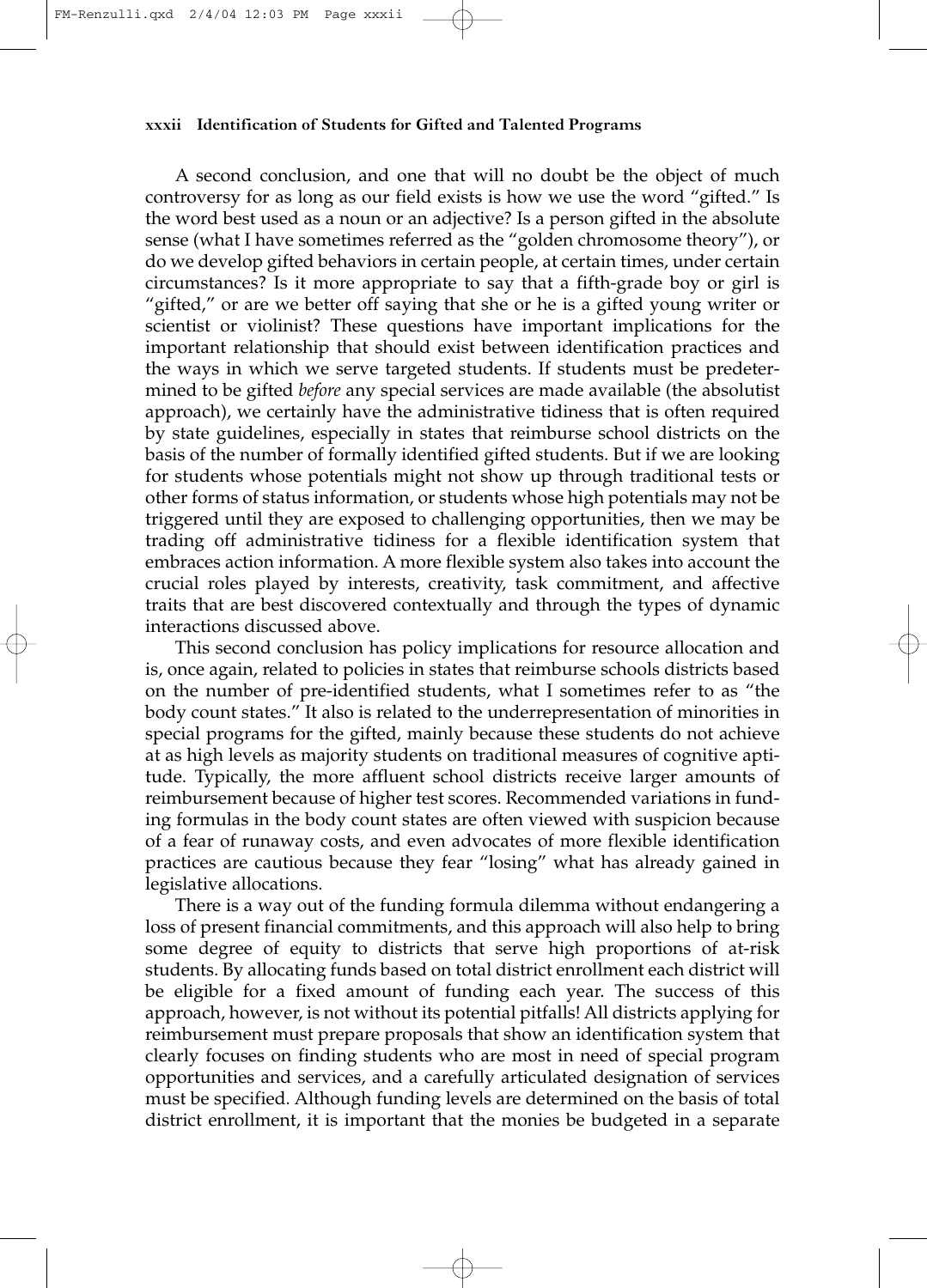#### **xxxii Identification of Students for Gifted and Talented Programs**

A second conclusion, and one that will no doubt be the object of much controversy for as long as our field exists is how we use the word "gifted." Is the word best used as a noun or an adjective? Is a person gifted in the absolute sense (what I have sometimes referred as the "golden chromosome theory"), or do we develop gifted behaviors in certain people, at certain times, under certain circumstances? Is it more appropriate to say that a fifth-grade boy or girl is "gifted," or are we better off saying that she or he is a gifted young writer or scientist or violinist? These questions have important implications for the important relationship that should exist between identification practices and the ways in which we serve targeted students. If students must be predetermined to be gifted *before* any special services are made available (the absolutist approach), we certainly have the administrative tidiness that is often required by state guidelines, especially in states that reimburse school districts on the basis of the number of formally identified gifted students. But if we are looking for students whose potentials might not show up through traditional tests or other forms of status information, or students whose high potentials may not be triggered until they are exposed to challenging opportunities, then we may be trading off administrative tidiness for a flexible identification system that embraces action information. A more flexible system also takes into account the crucial roles played by interests, creativity, task commitment, and affective traits that are best discovered contextually and through the types of dynamic interactions discussed above.

This second conclusion has policy implications for resource allocation and is, once again, related to policies in states that reimburse schools districts based on the number of pre-identified students, what I sometimes refer to as "the body count states." It also is related to the underrepresentation of minorities in special programs for the gifted, mainly because these students do not achieve at as high levels as majority students on traditional measures of cognitive aptitude. Typically, the more affluent school districts receive larger amounts of reimbursement because of higher test scores. Recommended variations in funding formulas in the body count states are often viewed with suspicion because of a fear of runaway costs, and even advocates of more flexible identification practices are cautious because they fear "losing" what has already gained in legislative allocations.

There is a way out of the funding formula dilemma without endangering a loss of present financial commitments, and this approach will also help to bring some degree of equity to districts that serve high proportions of at-risk students. By allocating funds based on total district enrollment each district will be eligible for a fixed amount of funding each year. The success of this approach, however, is not without its potential pitfalls! All districts applying for reimbursement must prepare proposals that show an identification system that clearly focuses on finding students who are most in need of special program opportunities and services, and a carefully articulated designation of services must be specified. Although funding levels are determined on the basis of total district enrollment, it is important that the monies be budgeted in a separate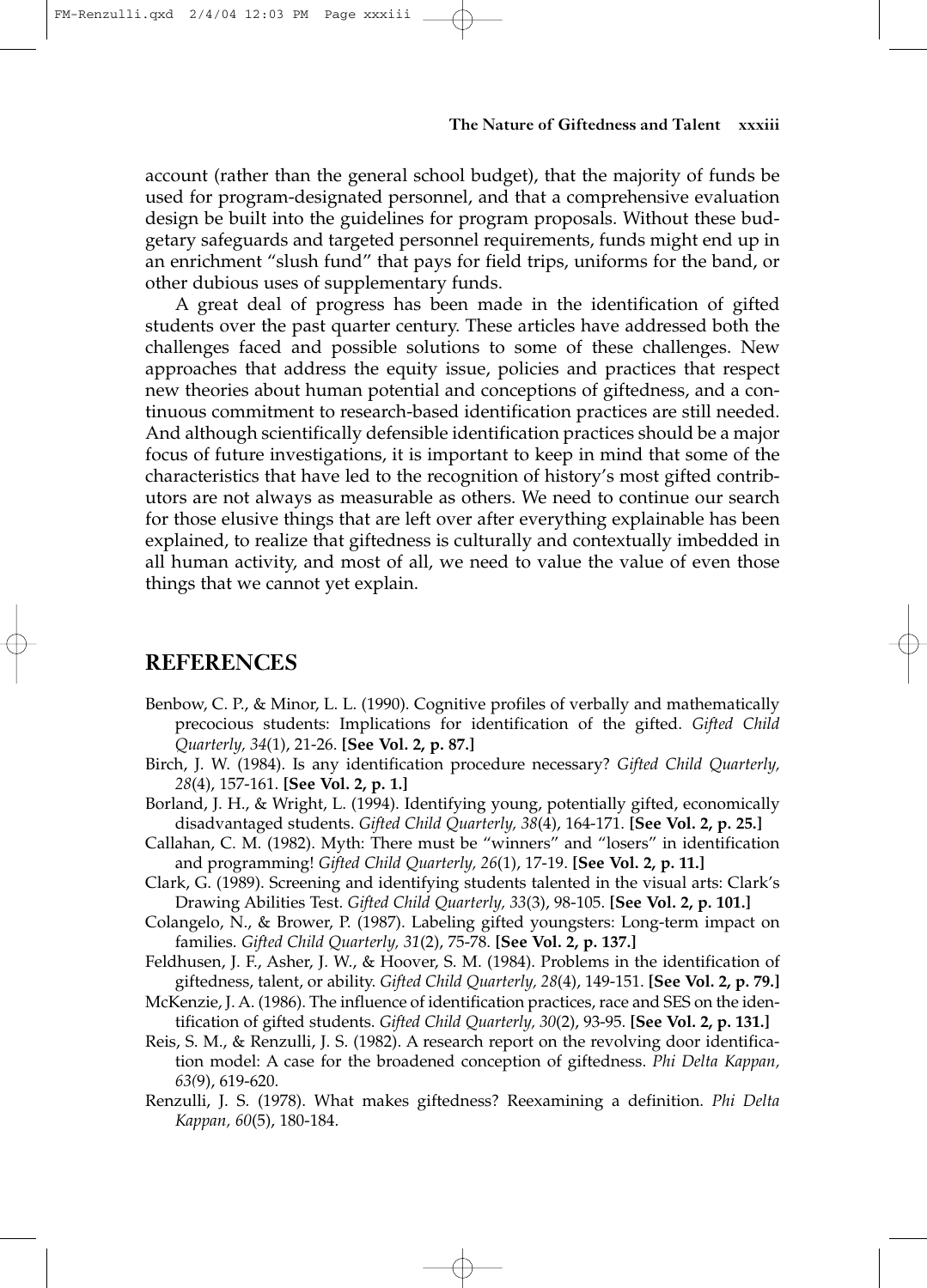## **The Nature of Giftedness and Talent xxxiii**

account (rather than the general school budget), that the majority of funds be used for program-designated personnel, and that a comprehensive evaluation design be built into the guidelines for program proposals. Without these budgetary safeguards and targeted personnel requirements, funds might end up in an enrichment "slush fund" that pays for field trips, uniforms for the band, or other dubious uses of supplementary funds.

A great deal of progress has been made in the identification of gifted students over the past quarter century. These articles have addressed both the challenges faced and possible solutions to some of these challenges. New approaches that address the equity issue, policies and practices that respect new theories about human potential and conceptions of giftedness, and a continuous commitment to research-based identification practices are still needed. And although scientifically defensible identification practices should be a major focus of future investigations, it is important to keep in mind that some of the characteristics that have led to the recognition of history's most gifted contributors are not always as measurable as others. We need to continue our search for those elusive things that are left over after everything explainable has been explained, to realize that giftedness is culturally and contextually imbedded in all human activity, and most of all, we need to value the value of even those things that we cannot yet explain.

## **REFERENCES**

- Benbow, C. P., & Minor, L. L. (1990). Cognitive profiles of verbally and mathematically precocious students: Implications for identification of the gifted. *Gifted Child Quarterly, 34*(1), 21-26. **[See Vol. 2, p. 87.]**
- Birch, J. W. (1984). Is any identification procedure necessary? *Gifted Child Quarterly, 28*(4), 157-161. **[See Vol. 2, p. 1.]**
- Borland, J. H., & Wright, L. (1994). Identifying young, potentially gifted, economically disadvantaged students. *Gifted Child Quarterly, 38*(4), 164-171. **[See Vol. 2, p. 25.]**
- Callahan, C. M. (1982). Myth: There must be "winners" and "losers" in identification and programming! *Gifted Child Quarterly, 26*(1), 17-19. **[See Vol. 2, p. 11.]**
- Clark, G. (1989). Screening and identifying students talented in the visual arts: Clark's Drawing Abilities Test. *Gifted Child Quarterly, 33*(3), 98-105. **[See Vol. 2, p. 101.]**
- Colangelo, N., & Brower, P. (1987). Labeling gifted youngsters: Long-term impact on families. *Gifted Child Quarterly, 31*(2), 75-78. **[See Vol. 2, p. 137.]**
- Feldhusen, J. F., Asher, J. W., & Hoover, S. M. (1984). Problems in the identification of giftedness, talent, or ability. *Gifted Child Quarterly, 28*(4), 149-151. **[See Vol. 2, p. 79.]**
- McKenzie, J. A. (1986). The influence of identification practices, race and SES on the identification of gifted students. *Gifted Child Quarterly, 30*(2), 93-95. **[See Vol. 2, p. 131.]**
- Reis, S. M., & Renzulli, J. S. (1982). A research report on the revolving door identification model: A case for the broadened conception of giftedness. *Phi Delta Kappan, 63(*9), 619-620.
- Renzulli, J. S. (1978). What makes giftedness? Reexamining a definition. *Phi Delta Kappan, 60*(5), 180-184.